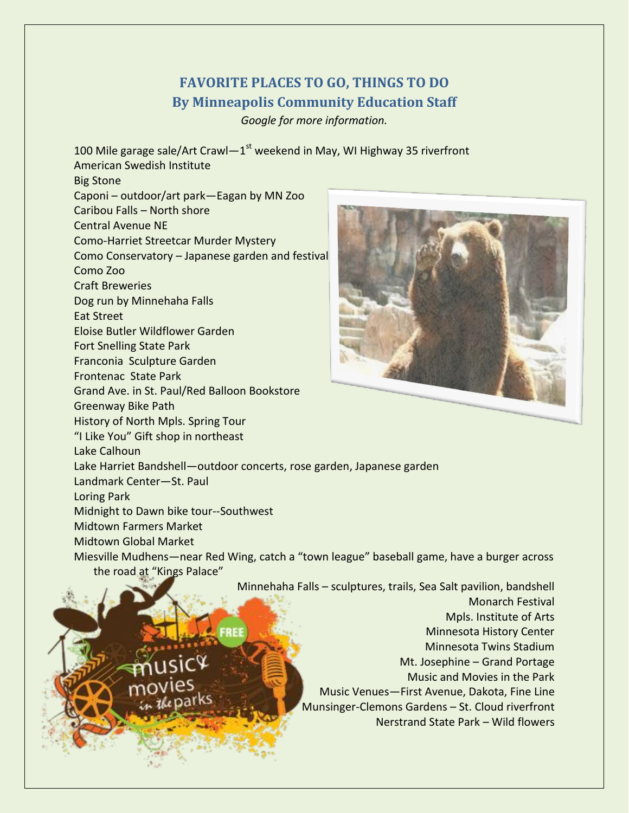## **FAVORITE PLACES TO GO, THINGS TO DO By Minneapolis Community Education Staff**

*Google for more information.*

100 Mile garage sale/Art Crawl-1<sup>st</sup> weekend in May, WI Highway 35 riverfront American Swedish Institute

Big Stone

Caponi – outdoor/art park—Eagan by MN Zoo Caribou Falls – North shore Central Avenue NE Como-Harriet Streetcar Murder Mystery Como Conservatory – Japanese garden and festival Como Zoo Craft Breweries Dog run by Minnehaha Falls Eat Street Eloise Butler Wildflower Garden Fort Snelling State Park Franconia Sculpture Garden Frontenac State Park Grand Ave. in St. Paul/Red Balloon Bookstore Greenway Bike Path History of North Mpls. Spring Tour "I Like You" Gift shop in northeast Lake Calhoun Lake Harriet Bandshell—outdoor concerts, rose garden, Japanese garden Landmark Center—St. Paul Loring Park Midnight to Dawn bike tour--Southwest Midtown Farmers Market Midtown Global Market

Miesville Mudhens—near Red Wing, catch a "town league" baseball game, have a burger across the road at "Kings Palace"

Minnehaha Falls – sculptures, trails, Sea Salt pavilion, bandshell



Monarch Festival Mpls. Institute of Arts Minnesota History Center Minnesota Twins Stadium Mt. Josephine – Grand Portage Music and Movies in the Park Music Venues—First Avenue, Dakota, Fine Line Munsinger-Clemons Gardens – St. Cloud riverfront

Nerstrand State Park – Wild flowers